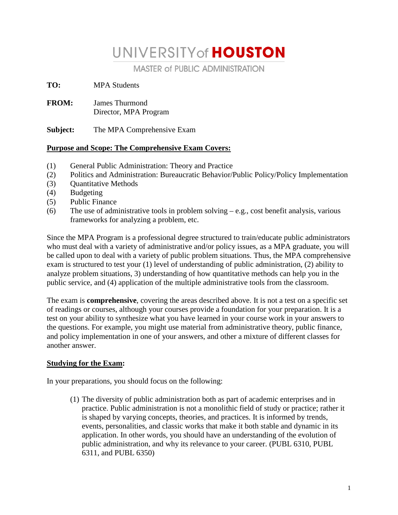# UNIVERSITY of **HOUSTON**

**MASTER of PUBLIC ADMINISTRATION** 

**TO:** MPA Students

**FROM:** James Thurmond Director, MPA Program

**Subject:** The MPA Comprehensive Exam

### **Purpose and Scope: The Comprehensive Exam Covers:**

- (1) General Public Administration: Theory and Practice
- (2) Politics and Administration: Bureaucratic Behavior/Public Policy/Policy Implementation
- (3) Quantitative Methods
- (4) Budgeting
- (5) Public Finance
- (6) The use of administrative tools in problem solving  $-e.g., \text{ cost benefit analysis, various}$ frameworks for analyzing a problem, etc.

Since the MPA Program is a professional degree structured to train/educate public administrators who must deal with a variety of administrative and/or policy issues, as a MPA graduate, you will be called upon to deal with a variety of public problem situations. Thus, the MPA comprehensive exam is structured to test your (1) level of understanding of public administration, (2) ability to analyze problem situations, 3) understanding of how quantitative methods can help you in the public service, and (4) application of the multiple administrative tools from the classroom.

The exam is **comprehensive**, covering the areas described above. It is not a test on a specific set of readings or courses, although your courses provide a foundation for your preparation. It is a test on your ability to synthesize what you have learned in your course work in your answers to the questions. For example, you might use material from administrative theory, public finance, and policy implementation in one of your answers, and other a mixture of different classes for another answer.

### **Studying for the Exam:**

In your preparations, you should focus on the following:

(1) The diversity of public administration both as part of academic enterprises and in practice. Public administration is not a monolithic field of study or practice; rather it is shaped by varying concepts, theories, and practices. It is informed by trends, events, personalities, and classic works that make it both stable and dynamic in its application. In other words, you should have an understanding of the evolution of public administration, and why its relevance to your career. (PUBL 6310, PUBL 6311, and PUBL 6350)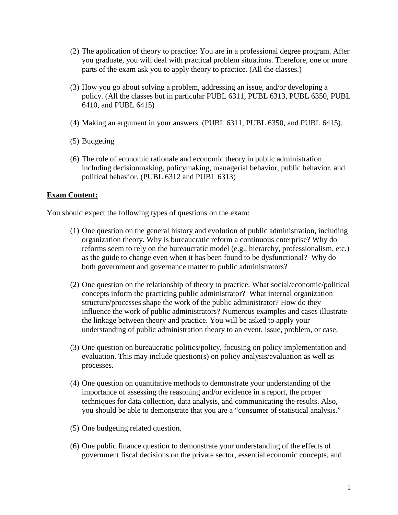- (2) The application of theory to practice: You are in a professional degree program. After you graduate, you will deal with practical problem situations. Therefore, one or more parts of the exam ask you to apply theory to practice. (All the classes.)
- (3) How you go about solving a problem, addressing an issue, and/or developing a policy. (All the classes but in particular PUBL 6311, PUBL 6313, PUBL 6350, PUBL 6410, and PUBL 6415)
- (4) Making an argument in your answers. (PUBL 6311, PUBL 6350, and PUBL 6415).
- (5) Budgeting
- (6) The role of economic rationale and economic theory in public administration including decisionmaking, policymaking, managerial behavior, public behavior, and political behavior. (PUBL 6312 and PUBL 6313)

#### **Exam Content:**

You should expect the following types of questions on the exam:

- (1) One question on the general history and evolution of public administration, including organization theory. Why is bureaucratic reform a continuous enterprise? Why do reforms seem to rely on the bureaucratic model (e.g., hierarchy, professionalism, etc.) as the guide to change even when it has been found to be dysfunctional? Why do both government and governance matter to public administrators?
- (2) One question on the relationship of theory to practice. What social/economic/political concepts inform the practicing public administrator? What internal organization structure/processes shape the work of the public administrator? How do they influence the work of public administrators? Numerous examples and cases illustrate the linkage between theory and practice. You will be asked to apply your understanding of public administration theory to an event, issue, problem, or case.
- (3) One question on bureaucratic politics/policy, focusing on policy implementation and evaluation. This may include question(s) on policy analysis/evaluation as well as processes.
- (4) One question on quantitative methods to demonstrate your understanding of the importance of assessing the reasoning and/or evidence in a report, the proper techniques for data collection, data analysis, and communicating the results. Also, you should be able to demonstrate that you are a "consumer of statistical analysis."
- (5) One budgeting related question.
- (6) One public finance question to demonstrate your understanding of the effects of government fiscal decisions on the private sector, essential economic concepts, and